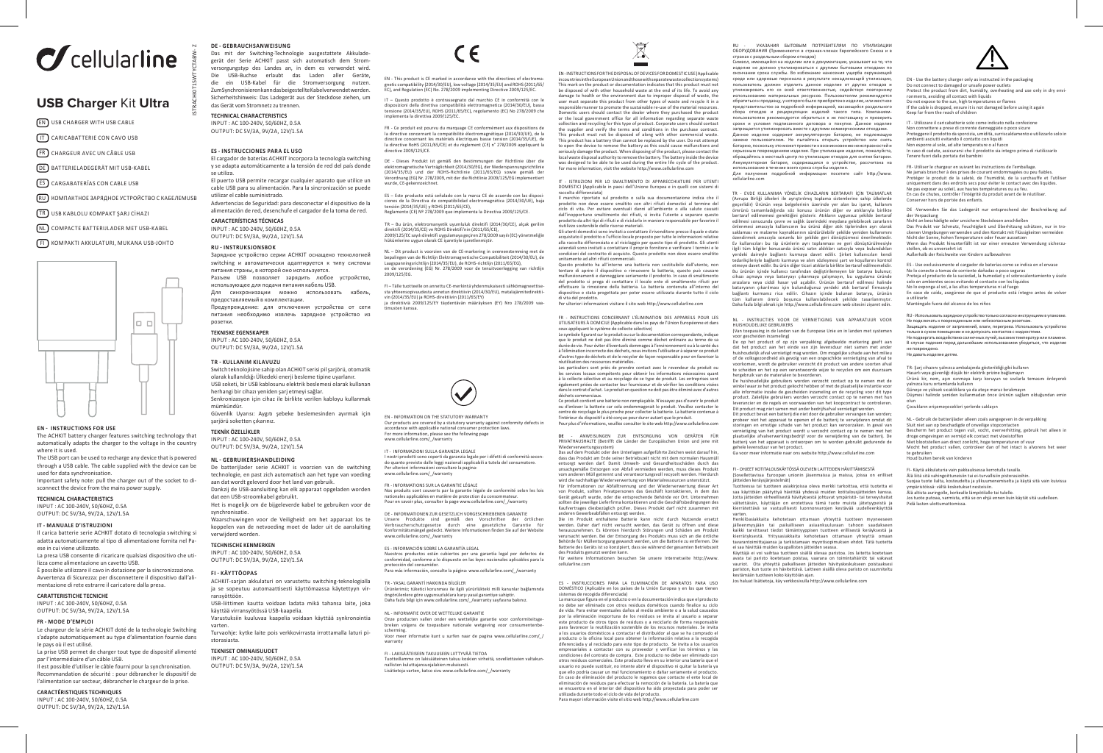# $\sigma$  cellularline

# **USB Charger** Kit **Ultra**

- EN USB CHARGER WITH USB CABLE
- IT CARICABATTERIE CON CAVO USB
- FR CHARGEUR AVEC UN CÂBLE USB
- DE BATTERIELADEGERÄT MIT USB-KABEL
- 
- $\overline{RU}$  КОМПАКТНОЕ ЗАРЯДНОЕ УСТРОЙСТВО С КАБЕЛЕМUSB
- TR USB KABLOLU KOMPAKT ŞARJ CİHAZI
- NL COMPACTE BATTERIJLADER MET USB-KABEL
- FI KOMPAKTI AKKULATURI, MUKANA USB-JOHTO



#### **EN - INSTRUCTIONS FOR USE**

The ACHKIT battery charger features switching technology that automatically adapts the charger to the voltage in the country where it is used.

The USB port can be used to recharge any device that is powered through a USB cable. The cable supplied with the device can be used for data synchronisation.

Important safety note: pull the charger out of the socket to disconnect the device from the mains power supply.

#### **TECHNICAL CHARACTERISTICS**

INPUT : AC 100-240V, 50/60HZ, 0.5A OUTPUT: DC 5V/3A, 9V/2A, 12V/1.5A

#### **IT - MANUALE D'ISTRUZIONI**

Il carica batterie serie ACHKIT dotato di tecnologia switching si adatta automaticamente al tipo di alimentazione fornita nel Paese in cui viene utilizzato.

La presa USB consente di ricaricare qualsiasi dispositivo che utilizza come alimentazione un cavetto USB. È possibile utilizzare il cavo in dotazione per la sincronizzazione. Avvertenza di Sicurezza: per disconnettere il dispositivo dall'ali-

#### mentazione di rete estrarre il caricatore dalla presa. **CARATTERISTICHE TECNICHE**

INPUT : AC 100-240V, 50/60HZ, 0.5A OUTPUT: DC 5V/3A, 9V/2A, 12V/1.5A

#### **FR - MODE D'EMPLOI**

Le chargeur de la série ACHKIT doté de la technologie Switching s'adapte automatiquement au type d'alimentation fournie dans le pays où il est utilisé.

La prise USB permet de charger tout type de dispositif alimenté par l'intermédiaire d'un câble USB. Il est possible d'utiliser le câble fourni pour la synchronisation. Recommandation de sécurité : pour débrancher le dispositif de

l'alimentation sur secteur, débrancher le chargeur de la prise. **CARACTÉRISTIQUES TECHNIQUES**

INPUT : AC 100-240V, 50/60HZ, 0.5A OUTPUT: DC 5V/3A, 9V/2A, 12V/1.5A

### **DE - GEBRAUCHSANWEISUNG**

Das mit der Switching-Technologie ausgestattete Akkuladegerät der Serie ACHKIT passt sich automatisch dem Stromversorgungstyp des Landes an, in dem es verwendet wird. Die USB-Buchse erlaubt das Laden aller Geräte, die ein USB-Kabel für die Stromversorgung nutzen. Zum Synchronisieren kann das beigestellte Kabel verwendet werden. Sicherheitshinweis: Das Ladegerät aus der Steckdose ziehen, um das Gerät vom Stromnetz zu trennen.

## **TECHNICAL CHARACTERISTICS**

ISTRACHKIT15WTYCTABW- Z

INPUT : AC 100-240V, 50/60HZ, 0.5A OUTPUT: DC 5V/3A, 9V/2A, 12V/1.5A

#### **ES - INSTRUCCIONES PARA EL USO**

ES CARGABATERÍAS CON CABLE USB wurde, CE-gekennzeichnet. cable USB para su alimentación. Para la sincronización se puede El cargador de baterías ACHKIT incorpora la tecnología switching y se adapta automáticamente a la tensión de red del país donde se utiliza. El puerto USB permite recargar cualquier aparato que utilice un utilizar el cable suministrado. Advertencias de Seguridad: para desconectar el dispositivo de la alimentación de red, desenchufe el cargador de la toma de red. **CARACTERÍSTICAS TÉCNICAS** 

INPUT : AC 100-240V, 50/60HZ, 0.5A OUTPUT: DC 5V/3A, 9V/2A, 12V/1.5A

#### **RU - INSTRUKSJONSBOK**

Зарядное устройство серии ACHKIT оснащено технологией switching и автоматически адаптируется к типу системы питания страны, в которой оно используется. Разъем USB позволяет зарядить любое устройство, использующее для подачи питания кабель USB. Для синхронизации можно использовать кабель, предоставляемый в комплектации. Предупреждение: для отключения устройства от сети питания необходимо извлечь зарядное устройство из розетки.

#### **TEKNISKE EGENSKAPER**

INPUT : AC 100-240V, 50/60HZ, 0.5A  $O$ UTPUT: DC 5V/3A,  $9V/2A$ , 12V/1.5A

#### **TR - KULLANIM KILAVUZU**

Switch teknolojisine sahip olan ACHKIT serisi pil şarjörü, otomatik olarak kullanıldığı Ülkedeki enerji besleme tipine uyarlanır. USB soketi, bir USB kablosunu elektrik beslemesi olarak kullanan herhangi bir cihazı yeniden şarj etmeyi sağlar. Senkronizasyon için cihaz ile birlikte verilen kabloyu kullanmak mümkündür.

Güvenlik Uyarısı: Aygıtı şebeke beslemesinden ayırmak için şarjörü soketten çıkarınız.

### **TEKNİK ÖZELLİKLER**

INPUT : AC 100-240V, 50/60HZ, 0.5A OUTPUT: DC 5V/3A, 9V/2A, 12V/1.5A

#### **NL - GEBRUIKERSHANDLEIDING**

De batterijlader serie ACHKIT is voorzien van de switching technologie, en past zich automatisch aan het type van voeding aan dat wordt geleverd door het land van gebruik. Dankzij de USB-aansluiting kan elk apparaat opgeladen worden dat een USB-stroomkabel gebruikt. Het is mogelijk om de bijgeleverde kabel te gebruiken voor de

synchronisatie. Waarschuwingen voor de Veiligheid: om het apparaat los te koppelen van de netvoeding moet de lader uit de aansluiting verwijderd worden.

### **TECHNISCHE KENMERKEN**

INPUT : AC 100-240V, 50/60HZ, 0.5A OUTPUT: DC 5V/3A, 9V/2A, 12V/1.5A

#### **FI - KÄYTTÖOPAS**

ACHKIT-sarjan akkulaturi on varustettu switching-teknologialla ja se sopeutuu automaattisesti käyttömaassa käytettyyn virransyöttöön. USB-liittimen kautta voidaan ladata mikä tahansa laite, joka käyttää virransyötössä USB-kaapelia. Varustuksiin kuuluvaa kaapelia voidaan käyttää synkronointia varten. Turvaohje: kytke laite pois verkkovirrasta irrottamalla laturi pi-

storasiasta.

#### **TEKNISET OMINAISUUDET**

INPUT : AC 100-240V, 50/60HZ, 0.5A OUTPUT: DC 5V/3A, 9V/2A, 12V/1.5A C E

EN - This product is CE marked in accordance with the directives of electromagnetic compatibility (2014/30/EU), low voltage (2014/35/EU) and ROHS (2011/65/ EC), and Regulation (EC) No. 278/2009 implementing Directive 2009/125/EC.

disposizioni della direttiva compatibilità elettromagnetica (2014/30/EU), bassa tensione (2014/35/EU), ROHS (2011/65/EC), regolamento (EC) No 278/2009 che implementa la direttiva 2009/125/EC.

la directive concernant la compatibilité électromagnétique (2014/30/UE), de la directive concernant les matériels électriques basse tension (2014/35/UE), de la directive RoHS (2011/65/CE) et du règlement (CE) n° 278/2009 appliquant la directive 2009/125/CE.

DE - Dieses Produkt ist gemäß den Bestimmungen der Richtlinie über die

ES – Este producto está señalado con la marca CE de acuerdo con las dispositensión (2014/35/UE) y ROHS (2011/65/CE), Reglamento (CE) Nº 278/2009 que implementa la Directiva 2009/125/CE.

direktifi (2014/35/CE) ve ROHS Direktifi'nin (2011/65/CE),<br>2009/125/EC sayılı direktifi uygulamaya geçiren 278/2009 sayılı (EC) yönetmeliğin<br>hükümlerine uygun olarak CE işaretiyle işaretlenmiştir.

bepalingen van de Richtlijn Elektromagnetische Compatibiliteit (2014/30/EU), de Laagspanningsrichtlijn (2014/35/EU), de ROHS-richtlijn (2011/65/EG), en de verordening (EG) Nr. 278/2009 voor de tenuitvoerlegging van richtlijn 2009/125/EG.

sta yhteensopivuudesta annetun direktiivin (2014/30/EU), matalajännitedirektiivin (2014/35/EU) ja ROHS-direktiivin (2011/65/EY) ja direktiiviä 2009/125/EY täydentävän määräyksen (EY) Nro 278/2009 vaatimusten kanssa.

Our products are covered by a statutory warranty against conformity defects in accordance with applicable national consumer protection laws. For more information, please see the following page www.cellularline.com/\_/warranty

I nostri prodotti sono coperti da garanzia legale per i difetti di conformità secondo quanto previsto dalle leggi nazionali applicabili a tutela del consumatore.

Nos produits sont couverts par la garantie légale de conformité selon les lois nationales applicables en matière de protection du consommateur. Pour en savoir plus, consulter la page www.cellularline.com/\_/warranty

Nuestros productos están cubiertos por una garantía legal por defectos de conformidad, conforme a lo dispuesto en las leyes nacionales aplicables para la protección del consumidor. Para más información, consulte la página: www.cellularline.com/\_/warranty

Ürünlerimiz; tüketici korunması ile ilgili yürürlükteki milli kanunlar bağlamında<br>öngörülenlere göre uygunsuzluklara karşı yasal garantiye sahiptir.<br>Daha fazla bilgi için www.cellularline.com/\_/warranty sayfasına bakınız.

Onze producten vallen onder een wettelijke garantie voor conformiteitsge-breken volgens de toepasbare nationale wetgeving voor consumentenbe-

Voor meer informatie kunt u surfen naar de pagina www.cellularline.com/\_/

Tuotteillamme on lakisääteinen takuu koskien virheitä, sovellettavien valtakun-<br>nallisten kuluttajansuojalakien mukaisesti.<br>Lisätietoja varten, katso sivu www.cellularline.com/\_/warranty

DE - INFORMATIONEN ZUR GESETZLICH VORGESCHRIEBENEN GARANTIE Unsere Produkte sind gemäß den Vorschriften der örtlichen Verbraucherschutzgesetze durch eine gesetzliche Garantie für Konformitätsmängel gedeckt. Weitere Informationen finden Sie auf der Website

EN - INFORMATION ON THE STATUTORY WARRANTY

IT - INFORMAZIONI SULLA GARANZIA LEGALE

Per ulteriori informazioni consultare la pagina: www.cellularline.com/ /warranty

FR - INFORMATIONS SUR LA GARANTIE LÉGALE

ES - INFORMACIÓN SOBRE LA GARANTÍA LEGAL

TR - YASAL GARANTİ HAKKINDA BİLGİLER

scherming.

warranty

NL - INFORMATIE OVER DE WETTELIJKE GARANTIE

FI - LAKISÄÄTEISEEN TAKUUSEEN LIITTYVÄÄ TIETOA

www.cellularline.com/\_/warranty

IT – Questo prodotto è contrassegnato dal marchio CE in conformità con le

FR - Ce produit est pourvu du marquage CE conformément aux dispositions de

elektromagnetische Verträglichkeit (2014/30/EG), der Niederspannungsrichtlinie<br>(2014/35/EU) und der ROHS-Richtlinie (2011/65/EG) sowie gemäß<br>Verordnung (EG) Nr. 278/2009, mit der die Richtlinie 2009/125/EG impl

ciones de la Directiva de compatibilidad electromagnética (2014/30/UE), baja

TR – Bu ürün, elektromanyetik uyumluluk direktifi (2014/30/CE), alçak gerilim

NL – Dit product is voorzien van de CE-markering in overeenstemming met de

I – Tälle tuotteelle on annettu CE-merkintä yhdenmukaisesti sähkömagneettise

EN - INSTRUCTIONS FOR THE DISPOSAL OF DEVICES FOR DOMESTIC USE (Applicable in countries in the European Union and those with separate waste collection systems).<br>This mark on the product or documentation indicates that this product must not This mark on the product or documentation indicates that this product must not<br>be disposed of with other household waste at the end of its life. To avoid any<br>damage to health or the environment due to improper disposal of

responsible manner to promote the sustainable re-use of the material resources.<br>Domestic users should contact the dealer where they purchased the product<br>or the local government office for all information regarding separat the supplier and verify the terms and conditions in the purchase contract. This product must not be disposed of along with other commercial waste.<br>This product has a battery than cannot be replaced by the user. Do not attempt<br>to open the device to remove the battery as this could cause malfunctio seriously damage the product. When disposing of the product, please contact the local waste disposal authority to remove the battery. The battery inside the device was designed to be able to be used during the entire life cycle of the product. For more information, visit the website http://www.cellularline.com

IT - ISTRUZIONI PER LO SMALTIMENTO DI APPARECCHIATURE PER UTENTI DOMESTICI (Applicabile in paesi dell'Unione Europea e in quelli con sistemi di raccolta differenziata)

Il marchio riportato sul prodotto o sulla sua documentazione indica che il prodotto non deve essere smaltito con altri rifiuti domestici al termine del ciclo di vita. Per evitare eventuali danni all'ambiente o alla salute causati

dall'inopportuno smaltimento dei rifiuti, si invita l'utente a separare questo prodotto da altri tipi di rifiuti e di riciclarlo in maniera responsabile per favorire il riutilizzo sostenibile delle risorse materiali. Gli utenti domestici sono invitati a contattare il rivenditore presso il quale e stato acquistato il prodotto o l'ufficio locale preposto per tutte le informazioni relative<br>alla raccolta differenziata e al riciclaggio per questo tipo di prodotto. Gli utenti<br>aziendali sono invitati a contattare il proprio for

condizioni del contratto di acquisto. Questo prodotto non deve essere smaltito unitamente ad altri rifiuti commerciali. Questo prodotto ha all'interno una batteria non sostituibile dall'utente, non<br>tentare di aprire il dispositivo o rimuovere la batteria, questo può causare<br>malfunzionamenti e danneggiare seriamente il prodotto. In caso di s del prodotto si prega di contattare il locale ente di smaltimento rifiuti per effettuare la rimozione della batteria. La batteria contenuta all'interno del

dispositivo e stata progettata per poter essere utilizzata durante tutto il ciclo di vita del prodotto. Per ulteriori informazioni visitare il sito web http://www.cellularline.com

FR - INSTRUCTIONS CONCERNANT L'ÉLIMINATION DES APPAREILS POUR LES UTILISATEURS À DOMICILE (Applicable dans les pays de l'Union Européenne et dans ceux appliquant le système de collecte sélective) Le symbole figurant sur le produit ou sur la documentation correspondante, indique

que le produit ne doit pas être éliminé comme déchet ordinaire au terme de sa<br>durée de vie. Pour éviter d'éventuels dommages à l'environnement ou à la santé dus<br>à l'élimination incorrecte des déchets, nous invitons l'utili réutilisation des ressources matérielles.

Les particuliers sont priés de prendre contact avec le revendeur du produit ou les services locaux compétents pour obtenir les informations nécessaires quant à la collecte sélective et au recyclage de ce type de produit. Les entreprises sont également priées de contacter leur fournisseur et de vérifier les conditions visées dans le contrat d'achat. Le produit en question ne doit pas être éliminé avec d'autres

déchets commerciaux. Ce produit contient une batterie non remplaçable. N'essayez pas d'ouvrir le produit ou d'enlever la batterie car cela endommagerait le produit. Veuillez contacter le centre de recyclage le plus proche pour collecter la batterie. La batterie contenue à l'intérieur du dispositif a été conçue pour durer autant que le produit. Pour plus d'informations, veuillez consulter le site web http://www.cellularline.com

ANWEISUNGEN ZUR ENTSORGUNG VON GERÄTEN FÜR PRIVATHAUSHALTE (Betrifft die Länder der Europäischen Union und jene mit Wiederverwertungssystem)

Das auf dem Produkt oder den Unterlagen aufgeführte Zeichen weist darauf hin, dass das Produkt am Ende seiner Betriebszeit nicht mit dem normalen Hausmüll entsorgt werden darf. Damit Umwelt- und Gesundheitsschäden durch das unsachgemäße Entsorgen von Abfall vermieden werden, muss dieses Produkt vom anderen Müll getrennt und verantwortungsvoll recycelt werden. Hierdurch wird die nachhaltige Wiederverwertung von Materialressourcen unterstützt. Für Informationen zur Abfalltrennung und der Wiederverwertung dieser Art<br>von Produkt, sollten Privatpersonen das Geschäft kontaktieren, in dem das<br>Gerät gekauft wurde, oder die entsprechende Behörde vor Ort. Unternehmen<br>so Kaufvertrages diesbezüglich prüfen. Dieses Produkt darf nicht zusammen mit

anderen Gewerbeabfällen entsorgt werden. Die im Produkt enthaltene Batterie kann nicht durch Nutzende ersetzt werden. Daher darf nicht versucht werden, das Gerät zu öffnen und diese herauszunehmen. Es könnten hierdurch Störungen und Schäden am Produkt

verursacht werden. Bei der Entsorgung des Produkts muss sich an die örtliche<br>Behörde für Müllentsorgung gewandt werden, um die Batterie zu entfernen. Die<br>Batterie des Geräts ist so konzipiert, dass sie während der gesamten Für weitere Informationen besuchen Sie unsere Internetseite http://www. cellularline.com

- INSTRUCCIONES PARA LA ELIMINACIÓN DE APARATOS PARA USO DOMÉSTICO (Aplicable en los países de la Unión Europea y en los que tienen sistemas de recogida diferenciada) La marca que figura en el producto o en la documentación indica que el producto

no debe ser eliminado con otros residuos dométicos cuando finalice su ciclo de vida. Para evitar eventuales daños al medio ambiente o a la salud causados por la eliminación inoportuna de los residuos se invita al usuario a separar<br>este producto de otros tipos de residuos y a reciclarlo de forma responsable<br>para favorecer la reutilización sostenible de los recursos materiale a los usuarios domésticos a contactar el distribuidor al que se ha comprado el producto o la oficina local para obtener la información relativa a la recogida diferenciada y al reciclado para este tipo de producto. Se invita a los usuarios<br>empresariales a contactar con su proveedor y verificar los términos y las<br>condiciones del contrato de compra. Este producto no debe ser elimi otros residuos comerciales. Este producto lleva en su interior una batería que el usuario no puede sustituir, no intente abrir el dispositivo ni quitar la batería ya<br>que ello podría causar un mal funcionamiento o dañar seriamente el producto.<br>En caso de eliminación del producto le rogamos que contacte e eliminación de residuos para efectuar la remoción de la batería. La batería que se encuentra en el interior del dispositivo ha sido proyectada para poder se utilizada durante todo el ciclo de vida del producto. Para mayor información visite el sitio web http://www.cellularline.com

УКАЗАНИЯ БЫТОВЫМ ПОТРЕБИТЕЛЯМ ПО УТИЛИЗАЦИ ОБОРУДОВАНИЯ (Применяются в странах-членах Европейского Союза и в

странах с раздельным сбором отходов)<br>Символ, имеющийся на изделии или в документации, указывает на то, что<br>изделие не должно утилизироваться с другими бытовыми отходами по<br>окончании срока службы. Во избежание нанесения ущ среде или здоровью персонала в результате ненадлежащей утилизации, пользователь должен отделить данное изделие от других отходов и утилизировать его со всей ответственностью, содействуя повторному использованию материальных ресурсов. Пользователям рекомендуется обратиться к продавцу, у которого было приобретено изделие, или местное представительство за подробной информацией, касающейся раздельног сбора отходов и рециркуляции изделий такого типа. Компаниям-пользователям рекомендуется обратиться к их поставщику и проверить сроки и условия подписанного договора о покупке. Данное изделие запрещается утилизировать вместе с другими коммерческими отходами. Данное изделие содержит аккумуляторную батарею, не подлежащую<br>замене пользователем. Не пытайтесь открыть устройство или снять<br>батарею,посколькуэтоможетпривести квозникновениюненсправностейи<br>серьезным повреждениямизделия.П обращайтесь в местный центр по утилизации отходов для снятия батареи. Аккумуляторная батарея, содержащаяся в устройстве, рассчитана на<br>использованиевтечение всего срокаслужбы изделия.<br>Для получения подробной информации посетите сайт http://www.

EN - Use the battery charger only as instructed in the packaging Do not connect to damaged or unsafe power outlets Protect the product from dirt, humidity, overheating and use only in dry envi-

Do not expose to the sun, high temperatures or flames If the cable is dropped, ensure it is not damaged before using it again Keep far from the reach of children

IT - Utilizzare il caricabatterie solo come indicato nella confezione Non connettere a prese di corrente danneggiate o poco sicure Proteggere il prodotto da sporcizia, umidità, surriscaldamento e utilizzarlo solo in

Non esporre al sole, ad alte temperature o al fuoco In caso di cadute, assicurarsi che il prodotto sia integro prima di riutilizzarlo Tenere fuori dalla portata dei bambini

DE -Verwenden Sie das Ladegerät nur entsprechend der Beschreibung auf der Verpackung Nicht an beschädigte oder unsichere Steckdosen anschließen Das Produkt vor Schmutz, Feuchtigkeit und Überhitzung schützen, nur in trockenen Umgebungen verwenden und den Kontakt mit Flüssigkeiten vermeiden<br>Nicht der Sonne, hohen Temperaturen oder Feuer aussetzen<br>Wenn das Produkt hinunterfällt ist vor einer erneuten Verwendung sicherzu:<br>stellen, ob es unv

ES - Use exclusivamente el cargador de baterías como se indica en el envase No lo conecte a tomas de corriente dañadas o poco seguras Proteja el producto de la suciedad, la humedad y el sobrecalentamiento y úselo solo en ambientes secos evitando el contacto con los líquidos No lo exponga al sol, a las altas temperaturas ni al fuego En caso de caída, asegúrese de que el producto está íntegro antes de volver

RU - Использовать зарядное устройство только согласно инструкциям в упаковке. Не подключать к поврежденным или небезопасным розеткам. Защищать изделие от загрязнений, влаги, перегрева. Использовать устройство только в сухом помещении и не допускать контактов с жидкостями.<br>Не подвергать воздействию солнечных лучей, высоких температур или пламен. Не подвергать воздействию солнечных лучей, высоких температур или пламени. В случае падения перед дальнейшим использованием убедиться, что изделие

TR- Şarj cihazını yalnızca ambalajında gösterildiği gibi kullanın Hasarlı veya güvenliği düşük bir elektrik prizine bağlamayın<br>Ürünü kir, nem, aşırı ısınmaya karşı koruyun ve sıvılarla temasını önleyerek<br>yalnızca kuru ortamlarda kullanın Güneşe ve yüksek sıcaklıklara ya da ateşe maruz bırakmayın Düşmesi halinde yeniden kullanmadan önce ürünün sağlam olduğundan emin

NL - Gebruik de batterijlader alleen zoals aangegeven in de verpakking Sluit niet aan op beschadigde of onveilige stopcontacten<br>Bescherm het product tegen vuil, vocht, oververhitting, gebruik het alleen in<br>droge omgevingen en vermijd elk contact met vloeistoffen<br>Niet blootstellen aan direct z

Älä liitä sitä vahingoittuneisiin tai ei-turvallisiin pistorasioihin.<br>Suojaa tuote lialta, kosteudelta ja ylikuumenemiselta ja käytä sitä vain kuivissa<br>ympäristöissä: vältä kosketukset nesteisiin.<br>Älä altista auringolle, k Jos tuote putoaa, varmista, että se on ehjä ennen kuin käytät sitä uudelleen.

..<br>Tükların erişemeyecekleri yerlerde saklayın

FI- Käytä akkulaturia vain pakkauksessa kerrotulla tavalla.

FR- Utiliser le chargeur en suivant les instructions de l'emballage. Ne jamais brancher à des prises de courant endommagées ou peu fiables.<br>Protéger le produit de la saleté, de l'humidité, de la surchauffe et l'utiliser<br>uniquement dans des endroits secs pour éviter le contact avec des liqui Ne pas exposer au soleil, aux hautes températures ou au feu. En cas de chutes, contrôler l'intégrité du produit avant de le réutilise

ronments, avoiding all contact with liquids

ambienti asciutti evitando il contatto con liquidi

Conserver hors de portée des enfants.

a utilizarlo Manténgalo fuera del alcance de los niños

не повреждено. Не давать изделие детям.

olun

te gebruiken te gebruiken<br>Houd buiten bereik van kinderen

Pidä lasten ulottumattomissa.

cellularline.com

TR - EVDE KULLANIMA YÖNELİK CİHAZLARIN BERTARAFI İÇİN TALİMATLAR (Avrupa Birliği ülkeleri ile ayrıştırılmış toplama sistemlerine sahip ülkelerde geçerlidir) Ürünün veya belgelerinin üzerinde yer alan bu işaret, kullanım<br>ömrünü tamamladığında söz konusu ürünün diğer ev atıklarıyla birlikte<br>bertaraf edilmemesi gerektiğini gösterir. Atıkların uygunsuz şekilde bertaraf edilmesi sonucunda çevre ve sağlık üzerindeki meydana gelebilecek zararların önlenmesi amacıyla kullanıcının bu ürünü diğer atık tiplerinden ayrı olarak saklaması ve malzeme kaynaklarının sürdürülebilir şekilde yeniden kullanımını özendirmek amacıyla sorumlu bir şekilde geri dönüştürmesi önerilmektedir. Ev kullanıcıları bu tip ürünlerin ayrı toplanması ve geri dönüştürülmesiyle ilgili tüm bilgiler konusunda ürünü satın aldıkları satıcıyla veya bulundukları yerdeki daireyle bağlantı kurmaya davet edilir. Şirket kullanıcıları kendi<br>tedarikçileriyle bağlantı kurmaya ve alım sözleşmesi şart ve koşullarını kontrol<br>etmeye'davet edilir. Bu ürün diğer ticari atıklarla birlikte berta Bu ürünün içinde kullanıcı tarafından değiştirilemeyen bir batarya bulunur; cihazı açmaya veya bataryayı çıkarmaya çalışmayın, bu uygulama üründe<br>arızalara veya ciddi hasar yol açabilir. Ürünün bertaraf edilmesi halinde<br>bataryanın çıkarılması için bulunduğunuz yerdeki atık bertaraf firmasıyla<br>bağl tüm kullanım ömrü boyunca kullanılabilecek şekilde tasarlanmıştır. Daha fazla bilgi almak için http://www.cellularline.com web sitesini ziyaret edin.

NL - INSTRUCTIES VOOR DE VERNIETIGING VAN APPARATUUR VOOR HUISHOUDELIJKE GEBRUIKERS (Van toepassing in de landen van de Europese Unie en in landen met systemen

voor gescheiden inzameling) De op het product of op zijn verpakking afgebeelde markering geeft aan dat het product aan het einde van zijn levensduur niet samen met ander<br>huishoudelijk afval vernietigd mag worden. Om mogelijke schade aan het milieu<br>of de volksgezondheid als gevolg van een ongeschikte vernietiging van afv te scheiden en het op een verantwoorde wijze te recyclen om een duurzaam

hergebruik van de materialen te bevorderen.<br>De huishoudelijke gebruikers worden verzocht contact op te nemen met de<br>winkel waar ze het product gekocht hebben of met de plaatselijke instantie voor<br>alle informatie inzake de product. Zakelijke gebruikers worden verzocht contact op te nemen met hun leverancier en de regels en voorwaarden van het koopcontract te controleren. Dit product mag niet samen met ander bedrijfsafval vernietigd worden.

Dit product bevat een batterij die niet door de gebruiker vervangen kan worden; probeer niet het apparaat te openen of de batterij te verwijderen omdat dit storingen en ernstige schade van het product kan veroorzaken. In geval van<br>vernietiging van het product wordt u verzocht contact op te nemen met het<br>plaatselijke afvalverwerkingsbedrijf voor de verwijdering van de batterij batterij van het apparaat is ontworpen om te worden gebruikt gedurende de gehele levensduur van het product. Ga voor meer informatie naar ons website http://www.cellularline.com

FI - OHJEET KOTITALOUSKÄYTÖSSÄ OLEVIEN LAITTEIDEN HÄVITTÄMISESTÄ (Sovellettavissa Euroopan unionin jäsenmaissa ja maissa, joissa on erilliset jätteiden keräysjärjestelmät)<br>Tuottoora tai tuottoon ariakirjoista oleva morkki tarkoittaa ottä tuototta oi

Tuotteessa tai tuotteen asiakirjoissa oleva merkki tarkoittaa, että tuotetta ei<br>saa käyttöiän päätyttyä hävittää yhdessä muiden kotitalousjätteiden kanssa.<br>Jotta jätteiden virheellisestä hävityksestä johtuvat ympäristö- ta kierrätettävä se vastuullisesti luonnonvarojen kestävää uudelleenkäyttöä

<sub>h</sub><br>Jässiskkaita kehotetaan ottamaan yhteyttä tuotteen myyneesee jälleenmyyjään tai paikalliseen asiaankuuluvaan tahoon saadakseen kaikki tarvittavat tiedot tämäntyyppisen tuotteen erillisestä keräyksestä ja kierrätyksestä. Yritysasiakkaita kehotetaan ottamaan yhteyttä omaan<br>tavarantoimittajaansa ja tarkistamaan myyntisopimuksen ehdot. Tätä-tuotetta<br>ei saa-hävittää-muiden kaupallisten-jätteiden seassa.<br>Käyttäjä ei voi vaihtaa avata tai paristo koetetaan poistaa, vaarana on toimintahäiriöt tai vakavat vauriot. Ota yhteyttä paikalliseen jätteiden hävityskeskukseen poistaaksesi pariston, kun tuote on hävitettävä. Laitteen sisällä oleva paristo on suunniteltu kestämään tuotteen koko käyttöiän ajan. Jos haluat lisätietoja, käy verkkosivulla http://www.cellularline.com

varten.